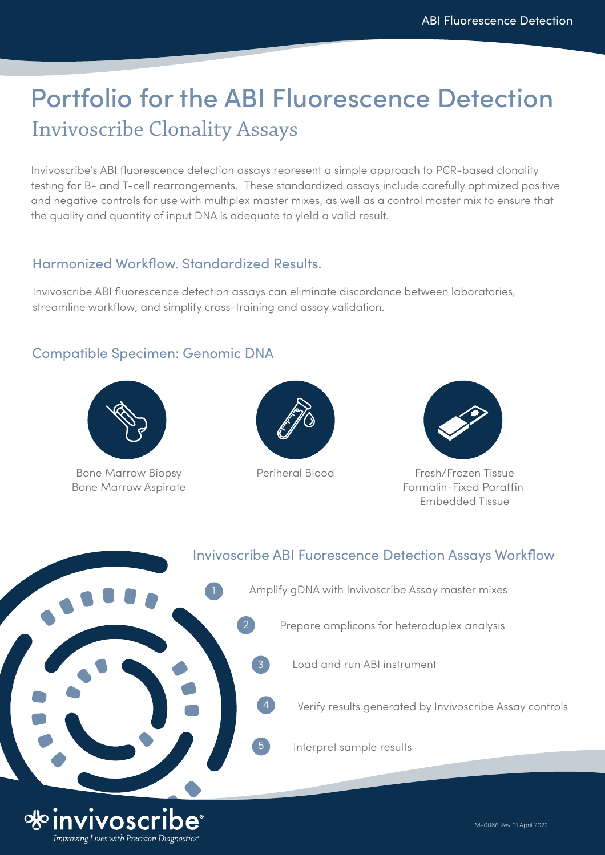# Portfolio for the ABI Fluorescence Detection Invivoscribe Clonality Assays

Invivoscribe's ABI fluorescence detection assays represent a simple approach to PCR-based clonality testing for B- and T-cell rearrangements. These standardized assays include carefully optimized positive and negative controls for use with multiplex master mixes, as well as a control master mix to ensure that the quality and quantity of input DNA is adequate to yield a valid result.

### Harmonized Workflow. Standardized Results.

Invivoscribe ABI fluorescence detection assays can eliminate discordance between laboratories, streamline workflow, and simplify cross-training and assay validation.

## Compatible Specimen: Genomic DNA



Bone Marrow Biopsy Periheral Blood Bone Marrow Aspirate





Fresh/Frozen Tissue Formalin-Fixed Paraffin Embedded Tissue

Invivoscribe ABI Fuorescence Detection Assays Workflow Amplify gDNA with Invivoscribe Assay master mixes 2 Prepare amplicons for heteroduplex analysis Load and run ABI instrument 3 Verify results generated by Invivoscribe Assay controls 5 Interpret sample results M-0086 Rev 01 April 2022 Improving Lives with Precision Diagnostics"